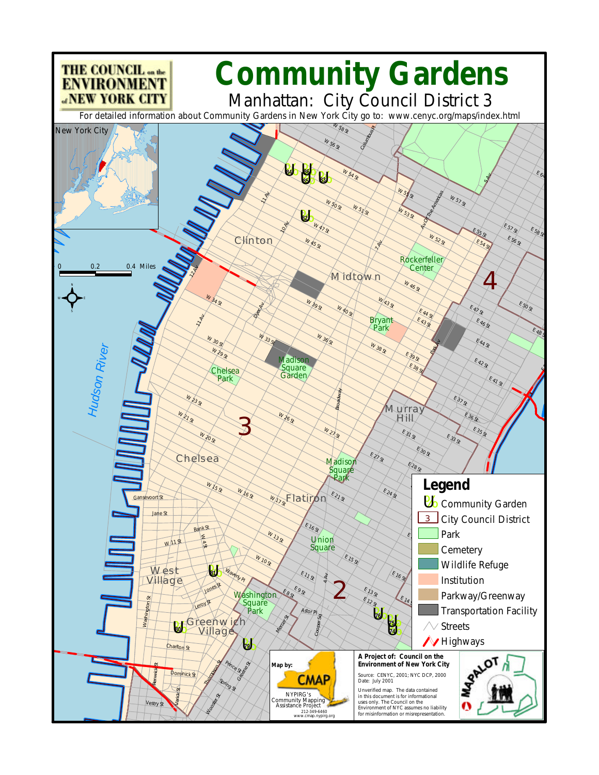